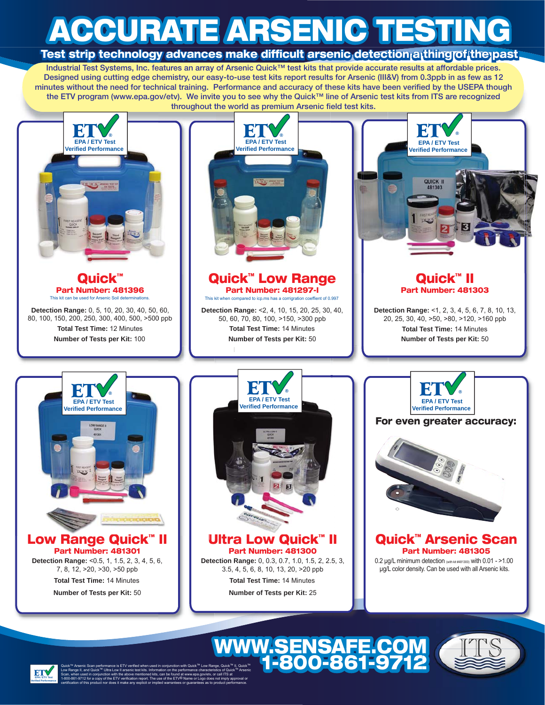# **ACCURATE ARSENIC TESTING ACCURATE ARSENIC TESTING CCURATE ACCURATE ARSENIC TESTING**

### **Test strip technology advances make difficult arsenic detection a thing of the past**

**Industrial Test Systems, Inc. features an array of Arsenic Quick™ test kits that provide accurate results at affordable prices. Designed using cutting edge chemistry, our easy-to-use test kits report results for Arsenic (III&V) from 0.3ppb in as few as 12 minutes without the need for technical training. Performance and accuracy of these kits have been verified by the USEPA though g y hutes without the need for technical training. Performance and accuracy of these kits have been verified by the USEPA thou<br>the ETV program (www.epa.gov/etv). We invite you to see why the Quick™ line of Arsenic test kit** throughout the world as premium Arsenic field test kits.



**1-800-861-9712**

**EPA / ETV Test Verified Performance** Quick™ Arsenic Scan performance is ETV verified when used in conjunction with Quick™ Low Range, Quick™ II, Quick™ Low Range II, and Quick™ Ultra Low II arsenic test kits. Information on the performance characteristics of Quick™ Arsenic Scan, when used in conjunction with the above mentioned kits, can be found at www.epa.gov/etv, or call ITS at 1-800-861-9712 for a copy of the ETV verification report. The use of the ETV<sup>®</sup> Name or Logo does not imply approval or certification of this product nor does it make any explicit or implied warrantees or guarantees as to product performance.